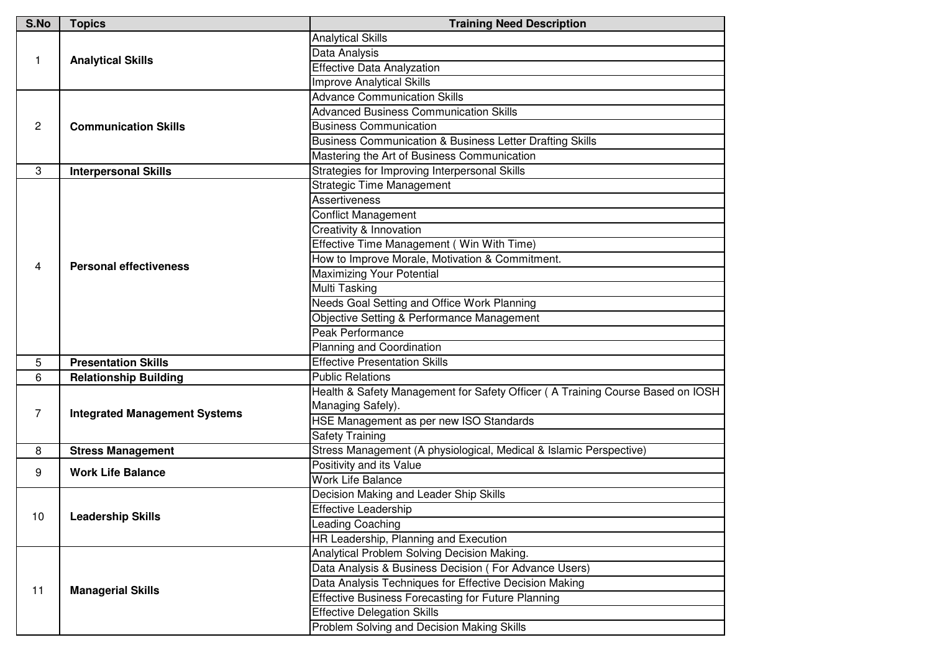| S.No | <b>Topics</b>                        | <b>Training Need Description</b>                                               |
|------|--------------------------------------|--------------------------------------------------------------------------------|
| 1    | <b>Analytical Skills</b>             | <b>Analytical Skills</b>                                                       |
|      |                                      | Data Analysis                                                                  |
|      |                                      | <b>Effective Data Analyzation</b>                                              |
|      |                                      | <b>Improve Analytical Skills</b>                                               |
| 2    | <b>Communication Skills</b>          | <b>Advance Communication Skills</b>                                            |
|      |                                      | <b>Advanced Business Communication Skills</b>                                  |
|      |                                      | <b>Business Communication</b>                                                  |
|      |                                      | <b>Business Communication &amp; Business Letter Drafting Skills</b>            |
|      |                                      | Mastering the Art of Business Communication                                    |
| 3    | <b>Interpersonal Skills</b>          | Strategies for Improving Interpersonal Skills                                  |
|      | <b>Personal effectiveness</b>        | <b>Strategic Time Management</b>                                               |
|      |                                      | <b>Assertiveness</b>                                                           |
|      |                                      | <b>Conflict Management</b>                                                     |
|      |                                      | <b>Creativity &amp; Innovation</b>                                             |
|      |                                      | Effective Time Management (Win With Time)                                      |
|      |                                      | How to Improve Morale, Motivation & Commitment.                                |
| 4    |                                      | <b>Maximizing Your Potential</b>                                               |
|      |                                      | <b>Multi Tasking</b>                                                           |
|      |                                      | Needs Goal Setting and Office Work Planning                                    |
|      |                                      | Objective Setting & Performance Management                                     |
|      |                                      | Peak Performance                                                               |
|      |                                      | Planning and Coordination                                                      |
| 5    | <b>Presentation Skills</b>           | <b>Effective Presentation Skills</b>                                           |
| 6    | <b>Relationship Building</b>         | <b>Public Relations</b>                                                        |
|      | <b>Integrated Management Systems</b> | Health & Safety Management for Safety Officer (A Training Course Based on IOSH |
| 7    |                                      | Managing Safely).                                                              |
|      |                                      | HSE Management as per new ISO Standards                                        |
|      |                                      | <b>Safety Training</b>                                                         |
| 8    | <b>Stress Management</b>             | Stress Management (A physiological, Medical & Islamic Perspective)             |
| 9    | <b>Work Life Balance</b>             | Positivity and its Value                                                       |
|      |                                      | <b>Work Life Balance</b>                                                       |
| 10   | <b>Leadership Skills</b>             | Decision Making and Leader Ship Skills                                         |
|      |                                      | <b>Effective Leadership</b>                                                    |
|      |                                      | Leading Coaching                                                               |
|      |                                      | HR Leadership, Planning and Execution                                          |
| 11   | <b>Managerial Skills</b>             | Analytical Problem Solving Decision Making.                                    |
|      |                                      | Data Analysis & Business Decision (For Advance Users)                          |
|      |                                      | Data Analysis Techniques for Effective Decision Making                         |
|      |                                      | <b>Effective Business Forecasting for Future Planning</b>                      |
|      |                                      | <b>Effective Delegation Skills</b>                                             |
|      |                                      | Problem Solving and Decision Making Skills                                     |